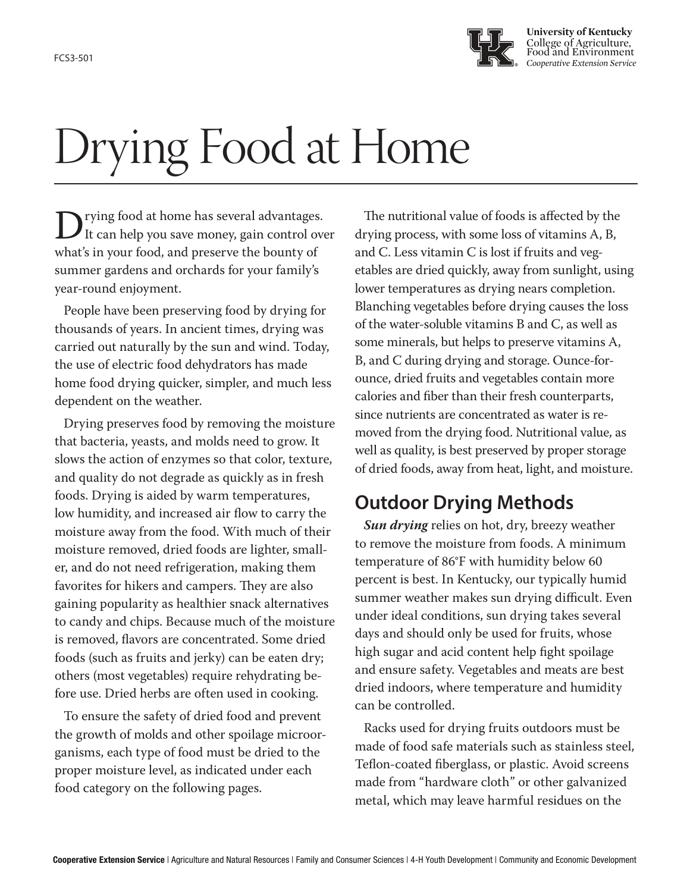

**University of Kentucky** College of Agriculture, Food and Environment FCS3-501

# Drying Food at Home

D rying food at home has several advantages.<br>It can help you save money, gain control over<br>what's in your food, and preserve the bounty of It can help you save money, gain control over what's in your food, and preserve the bounty of summer gardens and orchards for your family's year-round enjoyment.

People have been preserving food by drying for thousands of years. In ancient times, drying was carried out naturally by the sun and wind. Today, the use of electric food dehydrators has made home food drying quicker, simpler, and much less dependent on the weather.

Drying preserves food by removing the moisture that bacteria, yeasts, and molds need to grow. It slows the action of enzymes so that color, texture, and quality do not degrade as quickly as in fresh foods. Drying is aided by warm temperatures, low humidity, and increased air flow to carry the moisture away from the food. With much of their moisture removed, dried foods are lighter, smaller, and do not need refrigeration, making them favorites for hikers and campers. They are also gaining popularity as healthier snack alternatives to candy and chips. Because much of the moisture is removed, flavors are concentrated. Some dried foods (such as fruits and jerky) can be eaten dry; others (most vegetables) require rehydrating before use. Dried herbs are often used in cooking.

To ensure the safety of dried food and prevent the growth of molds and other spoilage microorganisms, each type of food must be dried to the proper moisture level, as indicated under each food category on the following pages.

The nutritional value of foods is affected by the drying process, with some loss of vitamins A, B, and C. Less vitamin C is lost if fruits and vegetables are dried quickly, away from sunlight, using lower temperatures as drying nears completion. Blanching vegetables before drying causes the loss of the water-soluble vitamins B and C, as well as some minerals, but helps to preserve vitamins A, B, and C during drying and storage. Ounce-forounce, dried fruits and vegetables contain more calories and fiber than their fresh counterparts, since nutrients are concentrated as water is removed from the drying food. Nutritional value, as well as quality, is best preserved by proper storage of dried foods, away from heat, light, and moisture.

# **Outdoor Drying Methods**

*Sun drying* relies on hot, dry, breezy weather to remove the moisture from foods. A minimum temperature of 86°F with humidity below 60 percent is best. In Kentucky, our typically humid summer weather makes sun drying difficult. Even under ideal conditions, sun drying takes several days and should only be used for fruits, whose high sugar and acid content help fight spoilage and ensure safety. Vegetables and meats are best dried indoors, where temperature and humidity can be controlled.

Racks used for drying fruits outdoors must be made of food safe materials such as stainless steel, Teflon-coated fiberglass, or plastic. Avoid screens made from "hardware cloth" or other galvanized metal, which may leave harmful residues on the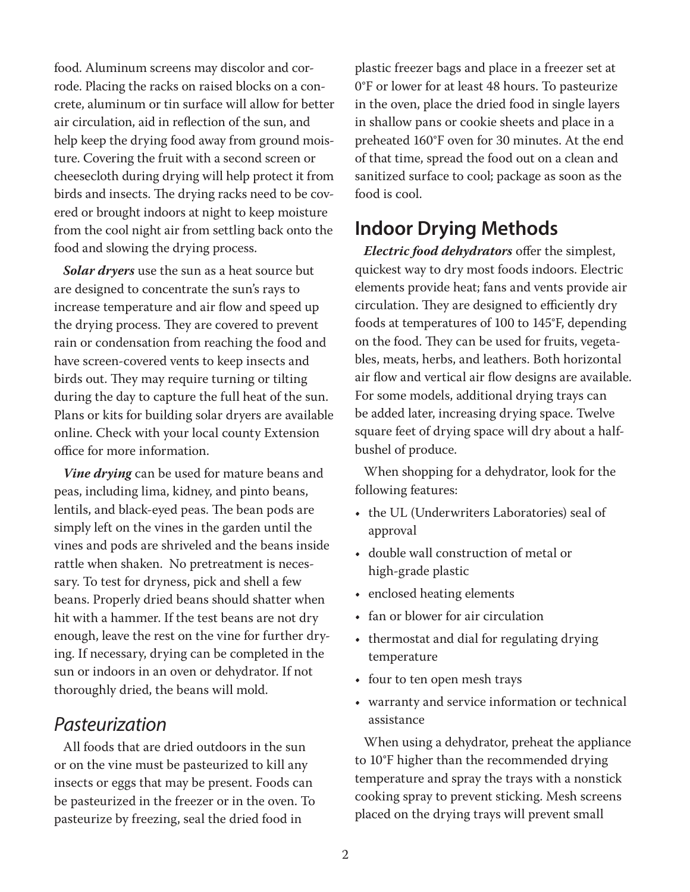food. Aluminum screens may discolor and corrode. Placing the racks on raised blocks on a concrete, aluminum or tin surface will allow for better air circulation, aid in reflection of the sun, and help keep the drying food away from ground moisture. Covering the fruit with a second screen or cheesecloth during drying will help protect it from birds and insects. The drying racks need to be covered or brought indoors at night to keep moisture from the cool night air from settling back onto the food and slowing the drying process.

*Solar dryers* use the sun as a heat source but are designed to concentrate the sun's rays to increase temperature and air flow and speed up the drying process. They are covered to prevent rain or condensation from reaching the food and have screen-covered vents to keep insects and birds out. They may require turning or tilting during the day to capture the full heat of the sun. Plans or kits for building solar dryers are available online. Check with your local county Extension office for more information.

*Vine drying* can be used for mature beans and peas, including lima, kidney, and pinto beans, lentils, and black-eyed peas. The bean pods are simply left on the vines in the garden until the vines and pods are shriveled and the beans inside rattle when shaken. No pretreatment is necessary. To test for dryness, pick and shell a few beans. Properly dried beans should shatter when hit with a hammer. If the test beans are not dry enough, leave the rest on the vine for further drying. If necessary, drying can be completed in the sun or indoors in an oven or dehydrator. If not thoroughly dried, the beans will mold.

#### *Pasteurization*

All foods that are dried outdoors in the sun or on the vine must be pasteurized to kill any insects or eggs that may be present. Foods can be pasteurized in the freezer or in the oven. To pasteurize by freezing, seal the dried food in

plastic freezer bags and place in a freezer set at 0°F or lower for at least 48 hours. To pasteurize in the oven, place the dried food in single layers in shallow pans or cookie sheets and place in a preheated 160°F oven for 30 minutes. At the end of that time, spread the food out on a clean and sanitized surface to cool; package as soon as the food is cool.

## **Indoor Drying Methods**

*Electric food dehydrators* offer the simplest, quickest way to dry most foods indoors. Electric elements provide heat; fans and vents provide air circulation. They are designed to efficiently dry foods at temperatures of 100 to 145°F, depending on the food. They can be used for fruits, vegetables, meats, herbs, and leathers. Both horizontal air flow and vertical air flow designs are available. For some models, additional drying trays can be added later, increasing drying space. Twelve square feet of drying space will dry about a halfbushel of produce.

When shopping for a dehydrator, look for the following features:

- the UL (Underwriters Laboratories) seal of approval
- double wall construction of metal or high-grade plastic
- enclosed heating elements
- fan or blower for air circulation
- thermostat and dial for regulating drying temperature
- four to ten open mesh trays
- warranty and service information or technical assistance

When using a dehydrator, preheat the appliance to 10°F higher than the recommended drying temperature and spray the trays with a nonstick cooking spray to prevent sticking. Mesh screens placed on the drying trays will prevent small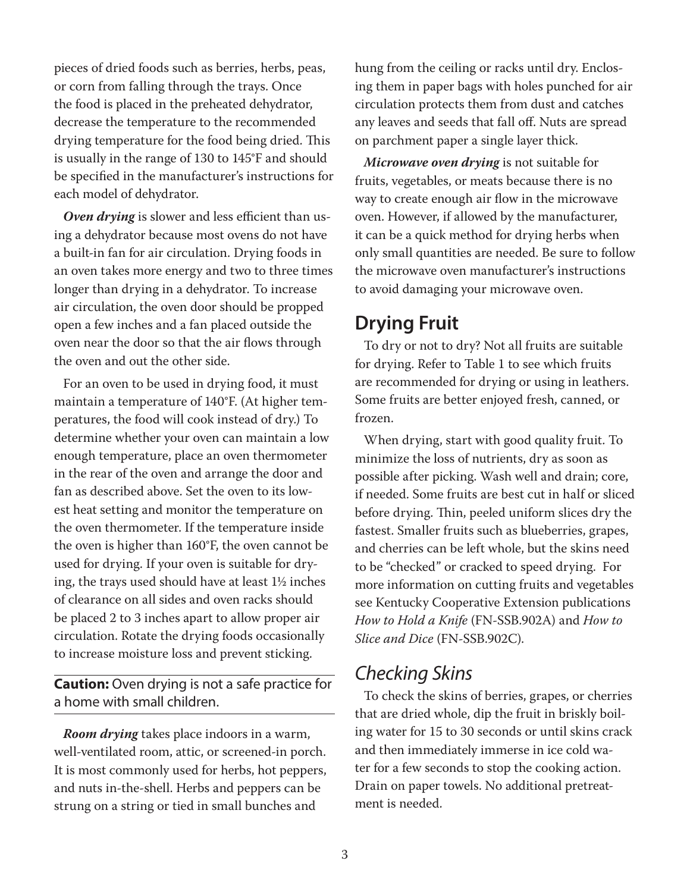pieces of dried foods such as berries, herbs, peas, or corn from falling through the trays. Once the food is placed in the preheated dehydrator, decrease the temperature to the recommended drying temperature for the food being dried. This is usually in the range of 130 to 145°F and should be specified in the manufacturer's instructions for each model of dehydrator.

*Oven drying* is slower and less efficient than using a dehydrator because most ovens do not have a built-in fan for air circulation. Drying foods in an oven takes more energy and two to three times longer than drying in a dehydrator. To increase air circulation, the oven door should be propped open a few inches and a fan placed outside the oven near the door so that the air flows through the oven and out the other side.

For an oven to be used in drying food, it must maintain a temperature of 140°F. (At higher temperatures, the food will cook instead of dry.) To determine whether your oven can maintain a low enough temperature, place an oven thermometer in the rear of the oven and arrange the door and fan as described above. Set the oven to its lowest heat setting and monitor the temperature on the oven thermometer. If the temperature inside the oven is higher than 160°F, the oven cannot be used for drying. If your oven is suitable for drying, the trays used should have at least 1½ inches of clearance on all sides and oven racks should be placed 2 to 3 inches apart to allow proper air circulation. Rotate the drying foods occasionally to increase moisture loss and prevent sticking.

**Caution:** Oven drying is not a safe practice for a home with small children.

*Room drying* takes place indoors in a warm, well-ventilated room, attic, or screened-in porch. It is most commonly used for herbs, hot peppers, and nuts in-the-shell. Herbs and peppers can be strung on a string or tied in small bunches and

hung from the ceiling or racks until dry. Enclosing them in paper bags with holes punched for air circulation protects them from dust and catches any leaves and seeds that fall off. Nuts are spread on parchment paper a single layer thick.

*Microwave oven drying* is not suitable for fruits, vegetables, or meats because there is no way to create enough air flow in the microwave oven. However, if allowed by the manufacturer, it can be a quick method for drying herbs when only small quantities are needed. Be sure to follow the microwave oven manufacturer's instructions to avoid damaging your microwave oven.

#### **Drying Fruit**

To dry or not to dry? Not all fruits are suitable for drying. Refer to Table 1 to see which fruits are recommended for drying or using in leathers. Some fruits are better enjoyed fresh, canned, or frozen.

When drying, start with good quality fruit. To minimize the loss of nutrients, dry as soon as possible after picking. Wash well and drain; core, if needed. Some fruits are best cut in half or sliced before drying. Thin, peeled uniform slices dry the fastest. Smaller fruits such as blueberries, grapes, and cherries can be left whole, but the skins need to be "checked" or cracked to speed drying. For more information on cutting fruits and vegetables see Kentucky Cooperative Extension publications *How to Hold a Knife* (FN-SSB.902A) and *How to Slice and Dice* (FN-SSB.902C).

## *Checking Skins*

To check the skins of berries, grapes, or cherries that are dried whole, dip the fruit in briskly boiling water for 15 to 30 seconds or until skins crack and then immediately immerse in ice cold water for a few seconds to stop the cooking action. Drain on paper towels. No additional pretreatment is needed.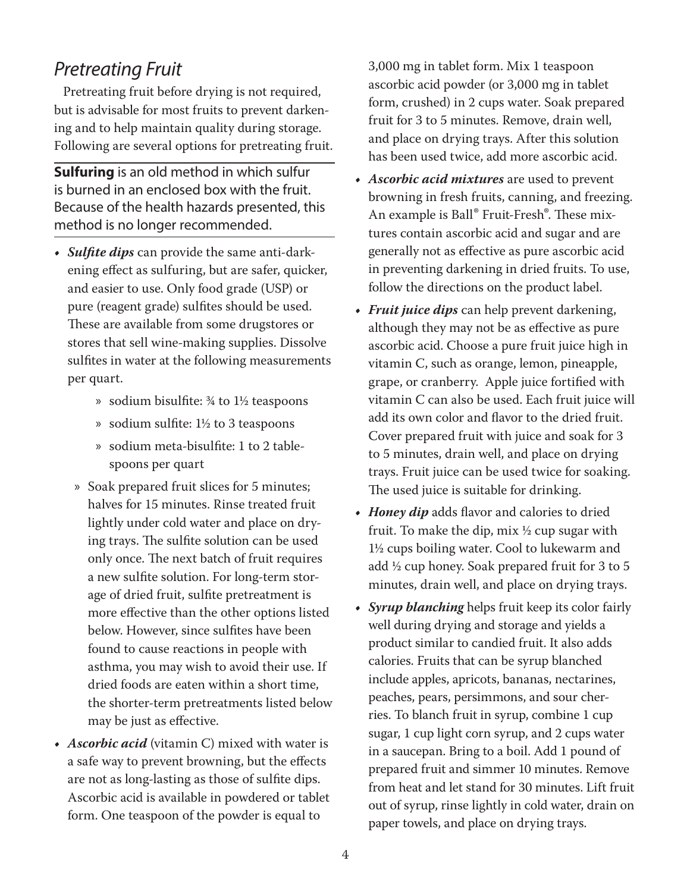#### *Pretreating Fruit*

Pretreating fruit before drying is not required, but is advisable for most fruits to prevent darkening and to help maintain quality during storage. Following are several options for pretreating fruit.

**Sulfuring** is an old method in which sulfur is burned in an enclosed box with the fruit. Because of the health hazards presented, this method is no longer recommended.

- *• Sulfite dips* can provide the same anti-darkening effect as sulfuring, but are safer, quicker, and easier to use. Only food grade (USP) or pure (reagent grade) sulfites should be used. These are available from some drugstores or stores that sell wine-making supplies. Dissolve sulfites in water at the following measurements per quart.
	- » sodium bisulfite: ¾ to 1½ teaspoons
	- » sodium sulfite: 1½ to 3 teaspoons
	- » sodium meta-bisulfite: 1 to 2 tablespoons per quart
	- » Soak prepared fruit slices for 5 minutes; halves for 15 minutes. Rinse treated fruit lightly under cold water and place on drying trays. The sulfite solution can be used only once. The next batch of fruit requires a new sulfite solution. For long-term storage of dried fruit, sulfite pretreatment is more effective than the other options listed below. However, since sulfites have been found to cause reactions in people with asthma, you may wish to avoid their use. If dried foods are eaten within a short time, the shorter-term pretreatments listed below may be just as effective.
- *• Ascorbic acid* (vitamin C) mixed with water is a safe way to prevent browning, but the effects are not as long-lasting as those of sulfite dips. Ascorbic acid is available in powdered or tablet form. One teaspoon of the powder is equal to

3,000 mg in tablet form. Mix 1 teaspoon ascorbic acid powder (or 3,000 mg in tablet form, crushed) in 2 cups water. Soak prepared fruit for 3 to 5 minutes. Remove, drain well, and place on drying trays. After this solution has been used twice, add more ascorbic acid.

- *• Ascorbic acid mixtures* are used to prevent browning in fresh fruits, canning, and freezing. An example is Ball® Fruit-Fresh®. These mixtures contain ascorbic acid and sugar and are generally not as effective as pure ascorbic acid in preventing darkening in dried fruits. To use, follow the directions on the product label.
- *• Fruit juice dips* can help prevent darkening, although they may not be as effective as pure ascorbic acid. Choose a pure fruit juice high in vitamin C, such as orange, lemon, pineapple, grape, or cranberry. Apple juice fortified with vitamin C can also be used. Each fruit juice will add its own color and flavor to the dried fruit. Cover prepared fruit with juice and soak for 3 to 5 minutes, drain well, and place on drying trays. Fruit juice can be used twice for soaking. The used juice is suitable for drinking.
- *• Honey dip* adds flavor and calories to dried fruit. To make the dip,  $\text{mix } \frac{1}{2}$  cup sugar with 1½ cups boiling water. Cool to lukewarm and add ½ cup honey. Soak prepared fruit for 3 to 5 minutes, drain well, and place on drying trays.
- *• Syrup blanching* helps fruit keep its color fairly well during drying and storage and yields a product similar to candied fruit. It also adds calories. Fruits that can be syrup blanched include apples, apricots, bananas, nectarines, peaches, pears, persimmons, and sour cherries. To blanch fruit in syrup, combine 1 cup sugar, 1 cup light corn syrup, and 2 cups water in a saucepan. Bring to a boil. Add 1 pound of prepared fruit and simmer 10 minutes. Remove from heat and let stand for 30 minutes. Lift fruit out of syrup, rinse lightly in cold water, drain on paper towels, and place on drying trays.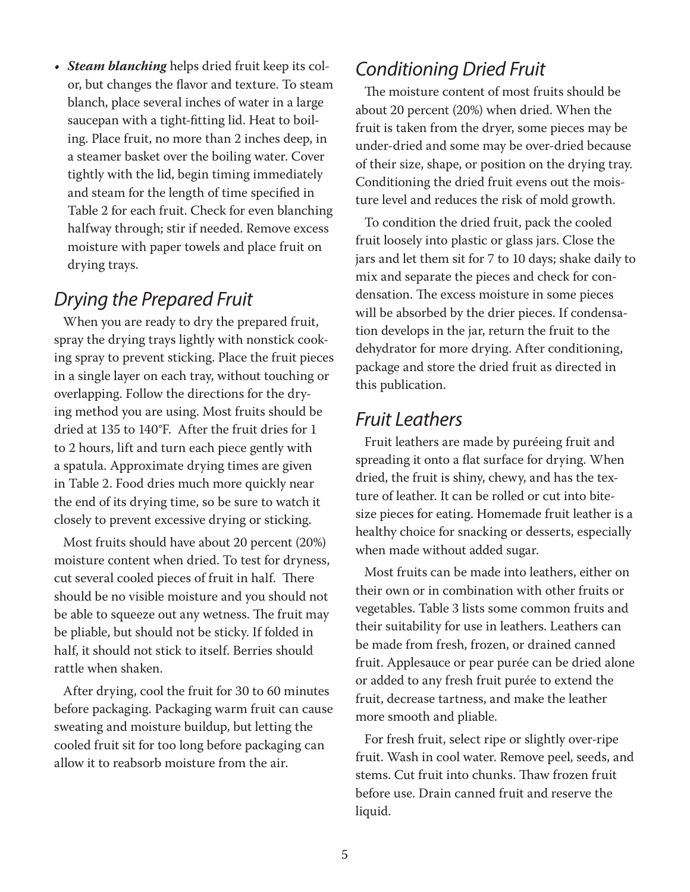*• Steam blanching* helps dried fruit keep its color, but changes the flavor and texture. To steam blanch, place several inches of water in a large saucepan with a tight-fitting lid. Heat to boiling. Place fruit, no more than 2 inches deep, in a steamer basket over the boiling water. Cover tightly with the lid, begin timing immediately and steam for the length of time specified in Table 2 for each fruit. Check for even blanching halfway through; stir if needed. Remove excess moisture with paper towels and place fruit on drying trays.

#### *Drying the Prepared Fruit*

When you are ready to dry the prepared fruit, spray the drying trays lightly with nonstick cooking spray to prevent sticking. Place the fruit pieces in a single layer on each tray, without touching or overlapping. Follow the directions for the drying method you are using. Most fruits should be dried at 135 to 140°F. After the fruit dries for 1 to 2 hours, lift and turn each piece gently with a spatula. Approximate drying times are given in Table 2. Food dries much more quickly near the end of its drying time, so be sure to watch it closely to prevent excessive drying or sticking.

Most fruits should have about 20 percent (20%) moisture content when dried. To test for dryness, cut several cooled pieces of fruit in half. There should be no visible moisture and you should not be able to squeeze out any wetness. The fruit may be pliable, but should not be sticky. If folded in half, it should not stick to itself. Berries should rattle when shaken.

After drying, cool the fruit for 30 to 60 minutes before packaging. Packaging warm fruit can cause sweating and moisture buildup, but letting the cooled fruit sit for too long before packaging can allow it to reabsorb moisture from the air.

#### *Conditioning Dried Fruit*

The moisture content of most fruits should be about 20 percent (20%) when dried. When the fruit is taken from the dryer, some pieces may be under-dried and some may be over-dried because of their size, shape, or position on the drying tray. Conditioning the dried fruit evens out the moisture level and reduces the risk of mold growth.

To condition the dried fruit, pack the cooled fruit loosely into plastic or glass jars. Close the jars and let them sit for 7 to 10 days; shake daily to mix and separate the pieces and check for condensation. The excess moisture in some pieces will be absorbed by the drier pieces. If condensation develops in the jar, return the fruit to the dehydrator for more drying. After conditioning, package and store the dried fruit as directed in this publication.

#### *Fruit Leathers*

Fruit leathers are made by puréeing fruit and spreading it onto a flat surface for drying. When dried, the fruit is shiny, chewy, and has the texture of leather. It can be rolled or cut into bitesize pieces for eating. Homemade fruit leather is a healthy choice for snacking or desserts, especially when made without added sugar.

Most fruits can be made into leathers, either on their own or in combination with other fruits or vegetables. Table 3 lists some common fruits and their suitability for use in leathers. Leathers can be made from fresh, frozen, or drained canned fruit. Applesauce or pear purée can be dried alone or added to any fresh fruit purée to extend the fruit, decrease tartness, and make the leather more smooth and pliable.

For fresh fruit, select ripe or slightly over-ripe fruit. Wash in cool water. Remove peel, seeds, and stems. Cut fruit into chunks. Thaw frozen fruit before use. Drain canned fruit and reserve the liquid.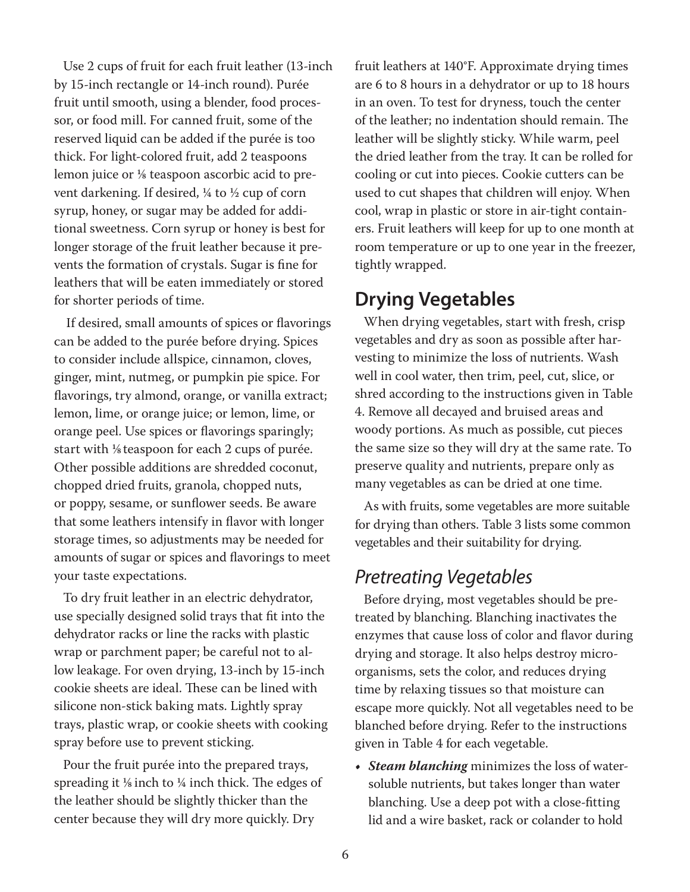Use 2 cups of fruit for each fruit leather (13-inch by 15-inch rectangle or 14-inch round). Purée fruit until smooth, using a blender, food processor, or food mill. For canned fruit, some of the reserved liquid can be added if the purée is too thick. For light-colored fruit, add 2 teaspoons lemon juice or  $\frac{1}{8}$  teaspoon ascorbic acid to prevent darkening. If desired, ¼ to ½ cup of corn syrup, honey, or sugar may be added for additional sweetness. Corn syrup or honey is best for longer storage of the fruit leather because it prevents the formation of crystals. Sugar is fine for leathers that will be eaten immediately or stored for shorter periods of time.

 If desired, small amounts of spices or flavorings can be added to the purée before drying. Spices to consider include allspice, cinnamon, cloves, ginger, mint, nutmeg, or pumpkin pie spice. For flavorings, try almond, orange, or vanilla extract; lemon, lime, or orange juice; or lemon, lime, or orange peel. Use spices or flavorings sparingly; start with <sup>1/8</sup> teaspoon for each 2 cups of purée. Other possible additions are shredded coconut, chopped dried fruits, granola, chopped nuts, or poppy, sesame, or sunflower seeds. Be aware that some leathers intensify in flavor with longer storage times, so adjustments may be needed for amounts of sugar or spices and flavorings to meet your taste expectations.

To dry fruit leather in an electric dehydrator, use specially designed solid trays that fit into the dehydrator racks or line the racks with plastic wrap or parchment paper; be careful not to allow leakage. For oven drying, 13-inch by 15-inch cookie sheets are ideal. These can be lined with silicone non-stick baking mats. Lightly spray trays, plastic wrap, or cookie sheets with cooking spray before use to prevent sticking.

Pour the fruit purée into the prepared trays, spreading it  $\frac{1}{8}$  inch to  $\frac{1}{4}$  inch thick. The edges of the leather should be slightly thicker than the center because they will dry more quickly. Dry

fruit leathers at 140°F. Approximate drying times are 6 to 8 hours in a dehydrator or up to 18 hours in an oven. To test for dryness, touch the center of the leather; no indentation should remain. The leather will be slightly sticky. While warm, peel the dried leather from the tray. It can be rolled for cooling or cut into pieces. Cookie cutters can be used to cut shapes that children will enjoy. When cool, wrap in plastic or store in air-tight containers. Fruit leathers will keep for up to one month at room temperature or up to one year in the freezer, tightly wrapped.

#### **Drying Vegetables**

When drying vegetables, start with fresh, crisp vegetables and dry as soon as possible after harvesting to minimize the loss of nutrients. Wash well in cool water, then trim, peel, cut, slice, or shred according to the instructions given in Table 4. Remove all decayed and bruised areas and woody portions. As much as possible, cut pieces the same size so they will dry at the same rate. To preserve quality and nutrients, prepare only as many vegetables as can be dried at one time.

As with fruits, some vegetables are more suitable for drying than others. Table 3 lists some common vegetables and their suitability for drying.

#### *Pretreating Vegetables*

Before drying, most vegetables should be pretreated by blanching. Blanching inactivates the enzymes that cause loss of color and flavor during drying and storage. It also helps destroy microorganisms, sets the color, and reduces drying time by relaxing tissues so that moisture can escape more quickly. Not all vegetables need to be blanched before drying. Refer to the instructions given in Table 4 for each vegetable.

*• Steam blanching* minimizes the loss of watersoluble nutrients, but takes longer than water blanching. Use a deep pot with a close-fitting lid and a wire basket, rack or colander to hold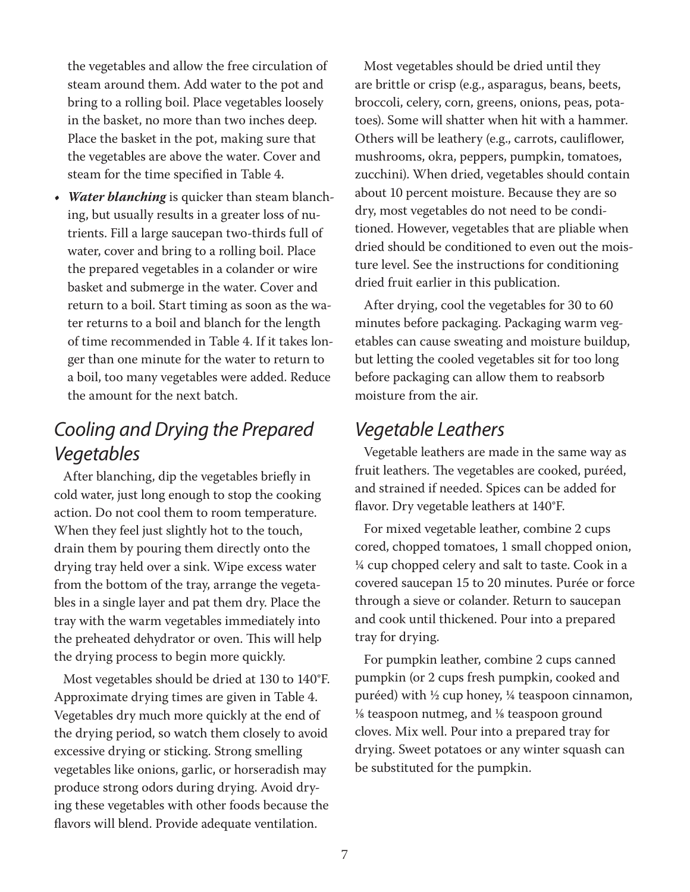the vegetables and allow the free circulation of steam around them. Add water to the pot and bring to a rolling boil. Place vegetables loosely in the basket, no more than two inches deep. Place the basket in the pot, making sure that the vegetables are above the water. Cover and steam for the time specified in Table 4.

*• Water blanching* is quicker than steam blanching, but usually results in a greater loss of nutrients. Fill a large saucepan two-thirds full of water, cover and bring to a rolling boil. Place the prepared vegetables in a colander or wire basket and submerge in the water. Cover and return to a boil. Start timing as soon as the water returns to a boil and blanch for the length of time recommended in Table 4. If it takes longer than one minute for the water to return to a boil, too many vegetables were added. Reduce the amount for the next batch.

# *Cooling and Drying the Prepared Vegetables*

After blanching, dip the vegetables briefly in cold water, just long enough to stop the cooking action. Do not cool them to room temperature. When they feel just slightly hot to the touch, drain them by pouring them directly onto the drying tray held over a sink. Wipe excess water from the bottom of the tray, arrange the vegetables in a single layer and pat them dry. Place the tray with the warm vegetables immediately into the preheated dehydrator or oven. This will help the drying process to begin more quickly.

Most vegetables should be dried at 130 to 140°F. Approximate drying times are given in Table 4. Vegetables dry much more quickly at the end of the drying period, so watch them closely to avoid excessive drying or sticking. Strong smelling vegetables like onions, garlic, or horseradish may produce strong odors during drying. Avoid drying these vegetables with other foods because the flavors will blend. Provide adequate ventilation.

Most vegetables should be dried until they are brittle or crisp (e.g., asparagus, beans, beets, broccoli, celery, corn, greens, onions, peas, potatoes). Some will shatter when hit with a hammer. Others will be leathery (e.g., carrots, cauliflower, mushrooms, okra, peppers, pumpkin, tomatoes, zucchini). When dried, vegetables should contain about 10 percent moisture. Because they are so dry, most vegetables do not need to be conditioned. However, vegetables that are pliable when dried should be conditioned to even out the moisture level. See the instructions for conditioning dried fruit earlier in this publication.

After drying, cool the vegetables for 30 to 60 minutes before packaging. Packaging warm vegetables can cause sweating and moisture buildup, but letting the cooled vegetables sit for too long before packaging can allow them to reabsorb moisture from the air.

#### *Vegetable Leathers*

Vegetable leathers are made in the same way as fruit leathers. The vegetables are cooked, puréed, and strained if needed. Spices can be added for flavor. Dry vegetable leathers at 140°F.

For mixed vegetable leather, combine 2 cups cored, chopped tomatoes, 1 small chopped onion, ¼ cup chopped celery and salt to taste. Cook in a covered saucepan 15 to 20 minutes. Purée or force through a sieve or colander. Return to saucepan and cook until thickened. Pour into a prepared tray for drying.

For pumpkin leather, combine 2 cups canned pumpkin (or 2 cups fresh pumpkin, cooked and puréed) with ½ cup honey, ¼ teaspoon cinnamon,  $\frac{1}{8}$  teaspoon nutmeg, and  $\frac{1}{8}$  teaspoon ground cloves. Mix well. Pour into a prepared tray for drying. Sweet potatoes or any winter squash can be substituted for the pumpkin.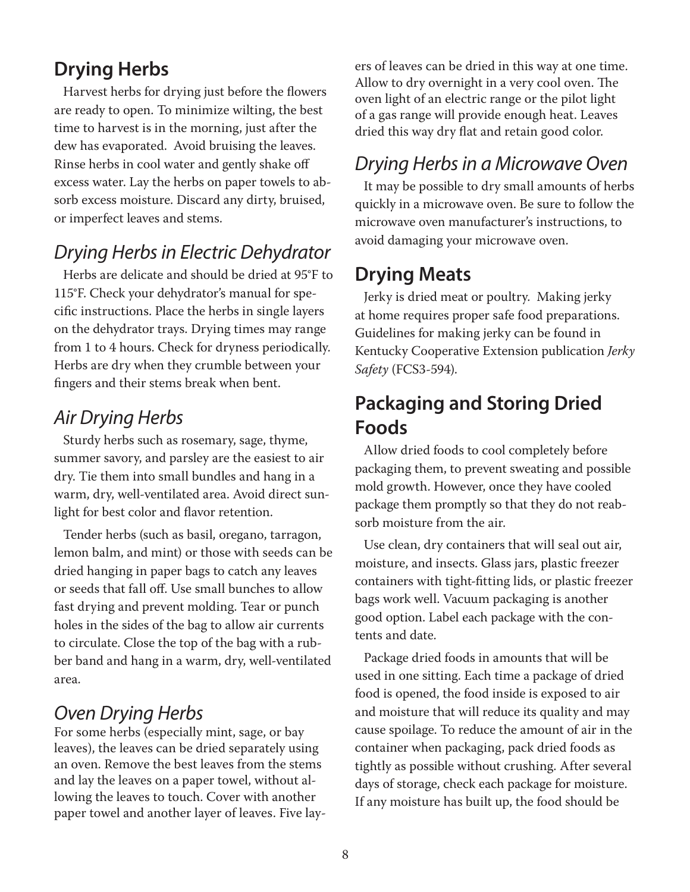# **Drying Herbs**

Harvest herbs for drying just before the flowers are ready to open. To minimize wilting, the best time to harvest is in the morning, just after the dew has evaporated. Avoid bruising the leaves. Rinse herbs in cool water and gently shake off excess water. Lay the herbs on paper towels to absorb excess moisture. Discard any dirty, bruised, or imperfect leaves and stems.

# *Drying Herbs in Electric Dehydrator*

Herbs are delicate and should be dried at 95°F to 115°F. Check your dehydrator's manual for specific instructions. Place the herbs in single layers on the dehydrator trays. Drying times may range from 1 to 4 hours. Check for dryness periodically. Herbs are dry when they crumble between your fingers and their stems break when bent.

## *Air Drying Herbs*

Sturdy herbs such as rosemary, sage, thyme, summer savory, and parsley are the easiest to air dry. Tie them into small bundles and hang in a warm, dry, well-ventilated area. Avoid direct sunlight for best color and flavor retention.

Tender herbs (such as basil, oregano, tarragon, lemon balm, and mint) or those with seeds can be dried hanging in paper bags to catch any leaves or seeds that fall off. Use small bunches to allow fast drying and prevent molding. Tear or punch holes in the sides of the bag to allow air currents to circulate. Close the top of the bag with a rubber band and hang in a warm, dry, well-ventilated area.

# *Oven Drying Herbs*

For some herbs (especially mint, sage, or bay leaves), the leaves can be dried separately using an oven. Remove the best leaves from the stems and lay the leaves on a paper towel, without allowing the leaves to touch. Cover with another paper towel and another layer of leaves. Five layers of leaves can be dried in this way at one time. Allow to dry overnight in a very cool oven. The oven light of an electric range or the pilot light of a gas range will provide enough heat. Leaves dried this way dry flat and retain good color.

# *Drying Herbs in a Microwave Oven*

It may be possible to dry small amounts of herbs quickly in a microwave oven. Be sure to follow the microwave oven manufacturer's instructions, to avoid damaging your microwave oven.

## **Drying Meats**

Jerky is dried meat or poultry. Making jerky at home requires proper safe food preparations. Guidelines for making jerky can be found in Kentucky Cooperative Extension publication *Jerky Safety* (FCS3-594).

# **Packaging and Storing Dried Foods**

Allow dried foods to cool completely before packaging them, to prevent sweating and possible mold growth. However, once they have cooled package them promptly so that they do not reabsorb moisture from the air.

Use clean, dry containers that will seal out air, moisture, and insects. Glass jars, plastic freezer containers with tight-fitting lids, or plastic freezer bags work well. Vacuum packaging is another good option. Label each package with the contents and date.

Package dried foods in amounts that will be used in one sitting. Each time a package of dried food is opened, the food inside is exposed to air and moisture that will reduce its quality and may cause spoilage. To reduce the amount of air in the container when packaging, pack dried foods as tightly as possible without crushing. After several days of storage, check each package for moisture. If any moisture has built up, the food should be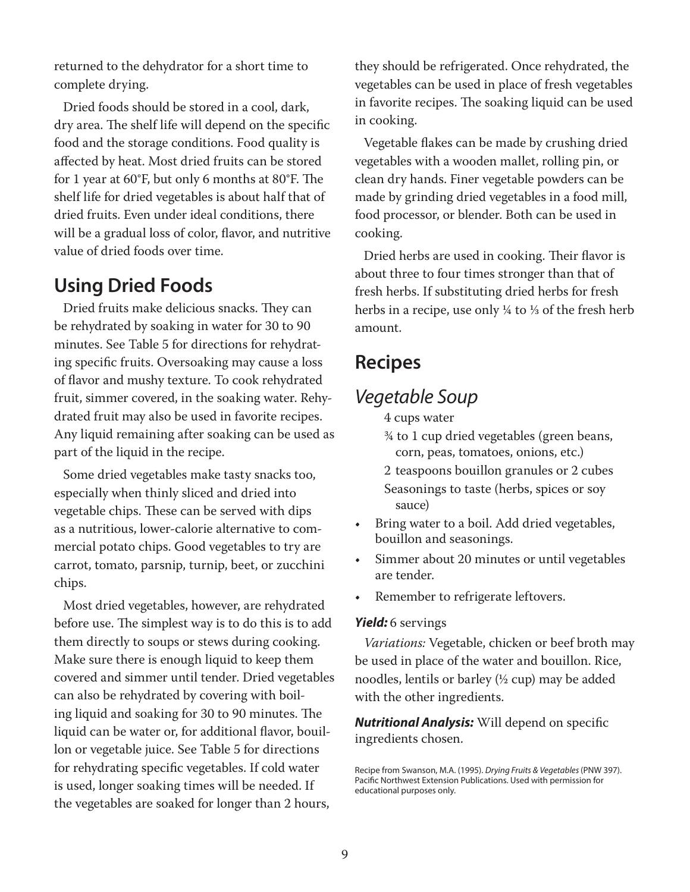returned to the dehydrator for a short time to complete drying.

Dried foods should be stored in a cool, dark, dry area. The shelf life will depend on the specific food and the storage conditions. Food quality is affected by heat. Most dried fruits can be stored for 1 year at 60°F, but only 6 months at 80°F. The shelf life for dried vegetables is about half that of dried fruits. Even under ideal conditions, there will be a gradual loss of color, flavor, and nutritive value of dried foods over time.

#### **Using Dried Foods**

Dried fruits make delicious snacks. They can be rehydrated by soaking in water for 30 to 90 minutes. See Table 5 for directions for rehydrating specific fruits. Oversoaking may cause a loss of flavor and mushy texture. To cook rehydrated fruit, simmer covered, in the soaking water. Rehydrated fruit may also be used in favorite recipes. Any liquid remaining after soaking can be used as part of the liquid in the recipe.

Some dried vegetables make tasty snacks too, especially when thinly sliced and dried into vegetable chips. These can be served with dips as a nutritious, lower-calorie alternative to commercial potato chips. Good vegetables to try are carrot, tomato, parsnip, turnip, beet, or zucchini chips.

Most dried vegetables, however, are rehydrated before use. The simplest way is to do this is to add them directly to soups or stews during cooking. Make sure there is enough liquid to keep them covered and simmer until tender. Dried vegetables can also be rehydrated by covering with boiling liquid and soaking for 30 to 90 minutes. The liquid can be water or, for additional flavor, bouillon or vegetable juice. See Table 5 for directions for rehydrating specific vegetables. If cold water is used, longer soaking times will be needed. If the vegetables are soaked for longer than 2 hours,

they should be refrigerated. Once rehydrated, the vegetables can be used in place of fresh vegetables in favorite recipes. The soaking liquid can be used in cooking.

Vegetable flakes can be made by crushing dried vegetables with a wooden mallet, rolling pin, or clean dry hands. Finer vegetable powders can be made by grinding dried vegetables in a food mill, food processor, or blender. Both can be used in cooking.

Dried herbs are used in cooking. Their flavor is about three to four times stronger than that of fresh herbs. If substituting dried herbs for fresh herbs in a recipe, use only  $\frac{1}{4}$  to  $\frac{1}{3}$  of the fresh herb amount.

## **Recipes**

#### *Vegetable Soup*

- 4 cups water
- ¾ to 1 cup dried vegetables (green beans, corn, peas, tomatoes, onions, etc.)
- 2 teaspoons bouillon granules or 2 cubes Seasonings to taste (herbs, spices or soy sauce)
- Bring water to a boil. Add dried vegetables, bouillon and seasonings.
- Simmer about 20 minutes or until vegetables are tender.
- Remember to refrigerate leftovers.

#### *Yield:* 6 servings

*Variations:* Vegetable, chicken or beef broth may be used in place of the water and bouillon. Rice, noodles, lentils or barley  $(1/2 \text{ cup})$  may be added with the other ingredients.

*Nutritional Analysis:* Will depend on specific ingredients chosen.

Recipe from Swanson, M.A. (1995). *Drying Fruits & Vegetables* (PNW 397). Pacific Northwest Extension Publications. Used with permission for educational purposes only.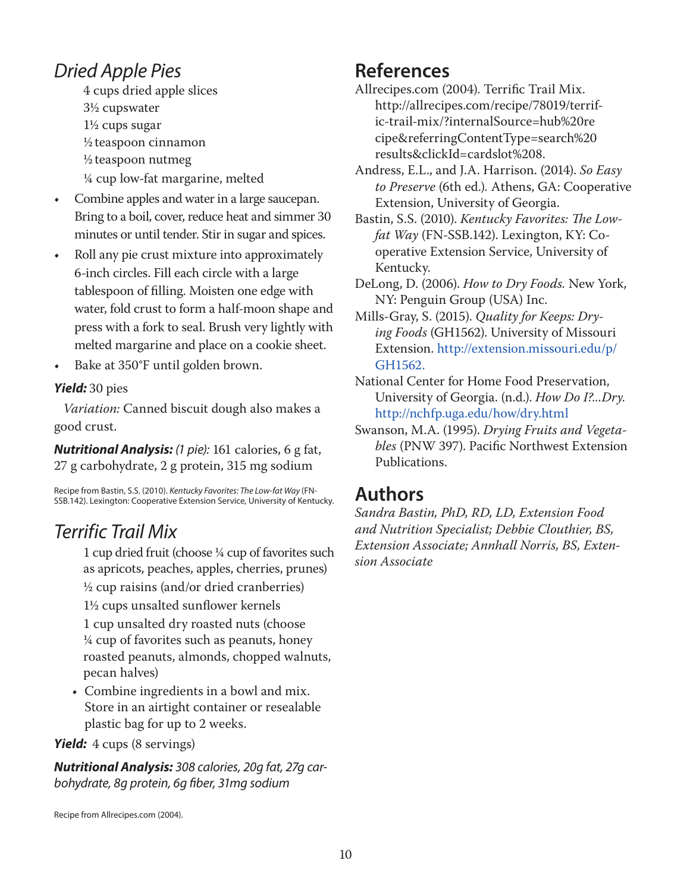# *Dried Apple Pies*

 4 cups dried apple slices 3½ cupswater 1½ cups sugar ½teaspoon cinnamon

- $\frac{1}{2}$  teaspoon nutmeg
- ¼ cup low-fat margarine, melted
- Combine apples and water in a large saucepan. Bring to a boil, cover, reduce heat and simmer 30 minutes or until tender. Stir in sugar and spices.
- Roll any pie crust mixture into approximately 6-inch circles. Fill each circle with a large tablespoon of filling. Moisten one edge with water, fold crust to form a half-moon shape and press with a fork to seal. Brush very lightly with melted margarine and place on a cookie sheet.
- Bake at 350°F until golden brown.

#### *Yield:* 30 pies

*Variation:* Canned biscuit dough also makes a good crust.

*Nutritional Analysis: (1 pie):* 161 calories, 6 g fat, 27 g carbohydrate, 2 g protein, 315 mg sodium

Recipe from Bastin, S.S. (2010). *Kentucky Favorites: The Low-fat Way* (FN-SSB.142). Lexington: Cooperative Extension Service, University of Kentucky.

# *Terrific Trail Mix*

 1 cup dried fruit (choose ¼ cup of favorites such as apricots, peaches, apples, cherries, prunes)  $\frac{1}{2}$  cup raisins (and/or dried cranberries) 1½ cups unsalted sunflower kernels

 1 cup unsalted dry roasted nuts (choose ¼ cup of favorites such as peanuts, honey roasted peanuts, almonds, chopped walnuts, pecan halves)

• Combine ingredients in a bowl and mix. Store in an airtight container or resealable plastic bag for up to 2 weeks.

#### *Yield:* 4 cups (8 servings)

*Nutritional Analysis: 308 calories, 20g fat, 27g carbohydrate, 8g protein, 6g fiber, 31mg sodium*

# **References**

- Allrecipes.com (2004). Terrific Trail Mix. http://allrecipes.com/recipe/78019/terrific-trail-mix/?internalSource=hub%20re cipe&referringContentType=search%20 results&clickId=cardslot%208.
- Andress, E.L., and J.A. Harrison. (2014). *So Easy to Preserve* (6th ed.)*.* Athens, GA: Cooperative Extension, University of Georgia.
- Bastin, S.S. (2010). *Kentucky Favorites: The Lowfat Way* (FN-SSB.142). Lexington, KY: Cooperative Extension Service, University of Kentucky.
- DeLong, D. (2006). *How to Dry Foods.* New York, NY: Penguin Group (USA) Inc.
- Mills-Gray, S. (2015). *Quality for Keeps: Drying Foods* (GH1562). University of Missouri Extension. http://extension.missouri.edu/p/ GH1562.
- National Center for Home Food Preservation, University of Georgia. (n.d.). *How Do I?...Dry.*  http://nchfp.uga.edu/how/dry.html
- Swanson, M.A. (1995). *Drying Fruits and Vegetables* (PNW 397). Pacific Northwest Extension Publications.

# **Authors**

*Sandra Bastin, PhD, RD, LD, Extension Food and Nutrition Specialist; Debbie Clouthier, BS, Extension Associate; Annhall Norris, BS, Extension Associate*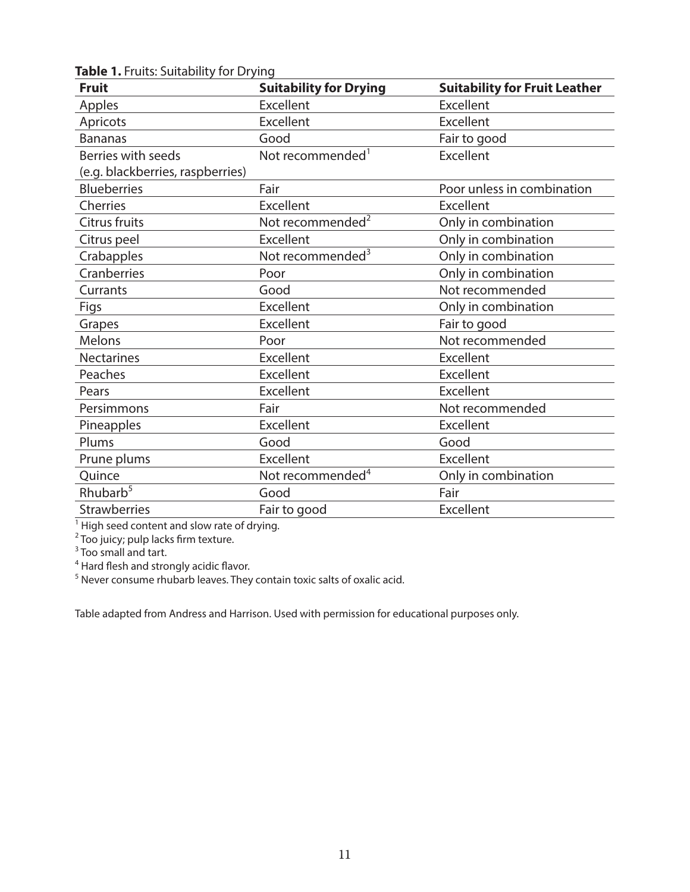| <b>Fruit</b>                     | <b>Suitability for Drying</b> | <b>Suitability for Fruit Leather</b> |
|----------------------------------|-------------------------------|--------------------------------------|
| Apples                           | <b>Excellent</b>              | <b>Excellent</b>                     |
| Apricots                         | Excellent                     | Excellent                            |
| <b>Bananas</b>                   | Good                          | Fair to good                         |
| Berries with seeds               | Not recommended <sup>1</sup>  | Excellent                            |
| (e.g. blackberries, raspberries) |                               |                                      |
| <b>Blueberries</b>               | Fair                          | Poor unless in combination           |
| Cherries                         | Excellent                     | <b>Excellent</b>                     |
| Citrus fruits                    | Not recommended <sup>2</sup>  | Only in combination                  |
| Citrus peel                      | Excellent                     | Only in combination                  |
| Crabapples                       | Not recommended <sup>3</sup>  | Only in combination                  |
| Cranberries                      | Poor                          | Only in combination                  |
| Currants                         | Good                          | Not recommended                      |
| Figs                             | Excellent                     | Only in combination                  |
| Grapes                           | Excellent                     | Fair to good                         |
| Melons                           | Poor                          | Not recommended                      |
| <b>Nectarines</b>                | Excellent                     | Excellent                            |
| Peaches                          | Excellent                     | Excellent                            |
| Pears                            | <b>Excellent</b>              | Excellent                            |
| Persimmons                       | Fair                          | Not recommended                      |
| Pineapples                       | Excellent                     | Excellent                            |
| Plums                            | Good                          | Good                                 |
| Prune plums                      | Excellent                     | Excellent                            |
| Quince                           | Not recommended <sup>4</sup>  | Only in combination                  |
| Rhubarb <sup>5</sup>             | Good                          | Fair                                 |
| <b>Strawberries</b>              | Fair to good                  | Excellent                            |

**Table 1.** Fruits: Suitability for Drying

<sup>1</sup> High seed content and slow rate of drying.<br><sup>2</sup> Too juicy; pulp lacks firm texture.<br><sup>3</sup> Too small and tart.<br><sup>4</sup> Hard flesh and strongly acidic flavor.<br><sup>5</sup> Never consume rhubarb leaves. They contain toxic salts of oxalic

Table adapted from Andress and Harrison. Used with permission for educational purposes only.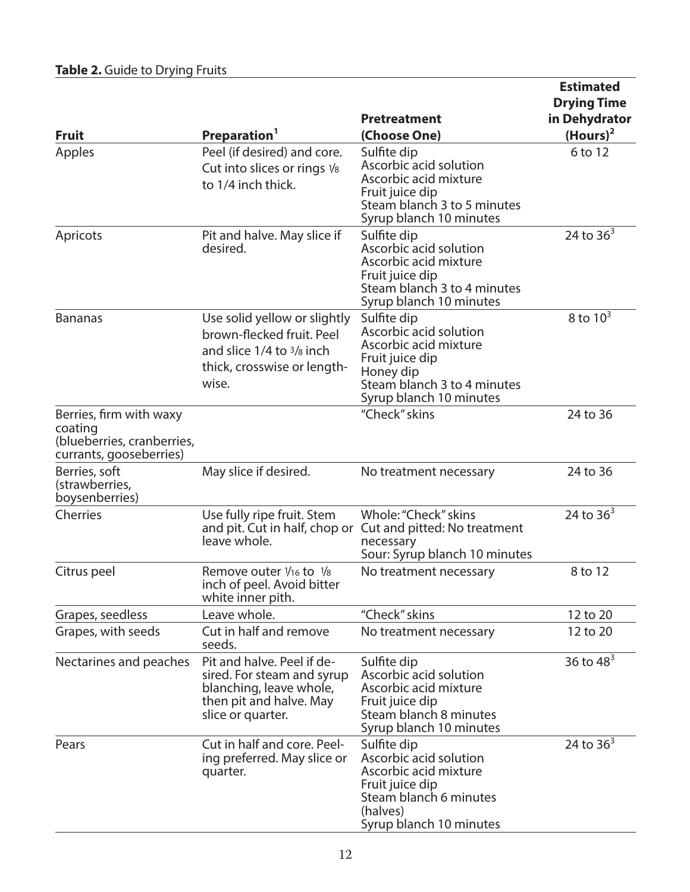| <b>Fruit</b>                                                                                | Preparation <sup>1</sup>                                                                                                            | <b>Pretreatment</b><br>(Choose One)                                                                                                                      | <b>Estimated</b><br><b>Drying Time</b><br>in Dehydrator<br>$(Hours)^2$ |
|---------------------------------------------------------------------------------------------|-------------------------------------------------------------------------------------------------------------------------------------|----------------------------------------------------------------------------------------------------------------------------------------------------------|------------------------------------------------------------------------|
| Apples                                                                                      | Peel (if desired) and core.<br>Cut into slices or rings 1/8<br>to 1/4 inch thick.                                                   | Sulfite dip<br>Ascorbic acid solution<br>Ascorbic acid mixture<br>Fruit juice dip<br>Steam blanch 3 to 5 minutes<br>Syrup blanch 10 minutes              | 6 to 12                                                                |
| Apricots                                                                                    | Pit and halve. May slice if<br>desired.                                                                                             | Sulfite dip<br>Ascorbic acid solution<br>Ascorbic acid mixture<br>Fruit juice dip<br>Steam blanch 3 to 4 minutes<br>Syrup blanch 10 minutes              | 24 to $36^{3}$                                                         |
| <b>Bananas</b>                                                                              | Use solid yellow or slightly<br>brown-flecked fruit. Peel<br>and slice $1/4$ to $3/8$ inch<br>thick, crosswise or length-<br>wise.  | Sulfite dip<br>Ascorbic acid solution<br>Ascorbic acid mixture<br>Fruit juice dip<br>Honey dip<br>Steam blanch 3 to 4 minutes<br>Syrup blanch 10 minutes | 8 to $10^3$                                                            |
| Berries, firm with waxy<br>coating<br>(blueberries, cranberries,<br>currants, gooseberries) |                                                                                                                                     | "Check" skins                                                                                                                                            | 24 to 36                                                               |
| Berries, soft<br>(strawberries,<br>boysenberries)                                           | May slice if desired.                                                                                                               | No treatment necessary                                                                                                                                   | 24 to 36                                                               |
| Cherries                                                                                    | Use fully ripe fruit. Stem<br>and pit. Cut in half, chop or<br>leave whole.                                                         | Whole: "Check" skins<br>Cut and pitted: No treatment<br>necessary<br>Sour: Syrup blanch 10 minutes                                                       | 24 to $36^3$                                                           |
| Citrus peel                                                                                 | Remove outer 1/16 to 1/8<br>inch of peel. Avoid bitter<br>white inner pith.                                                         | No treatment necessary                                                                                                                                   | 8 to 12                                                                |
| Grapes, seedless                                                                            | Leave whole.                                                                                                                        | "Check" skins                                                                                                                                            | 12 to 20                                                               |
| Grapes, with seeds                                                                          | Cut in half and remove<br>seeds.                                                                                                    | No treatment necessary                                                                                                                                   | 12 to 20                                                               |
| Nectarines and peaches                                                                      | Pit and halve. Peel if de-<br>sired. For steam and syrup<br>blanching, leave whole,<br>then pit and halve. May<br>slice or quarter. | Sulfite dip<br>Ascorbic acid solution<br>Ascorbic acid mixture<br>Fruit juice dip<br>Steam blanch 8 minutes<br>Syrup blanch 10 minutes                   | 36 to $48^{3}$                                                         |
| Pears                                                                                       | Cut in half and core. Peel-<br>ing preferred. May slice or<br>quarter.                                                              | Sulfite dip<br>Ascorbic acid solution<br>Ascorbic acid mixture<br>Fruit juice dip<br>Steam blanch 6 minutes<br>(halves)<br>Syrup blanch 10 minutes       | 24 to $363$                                                            |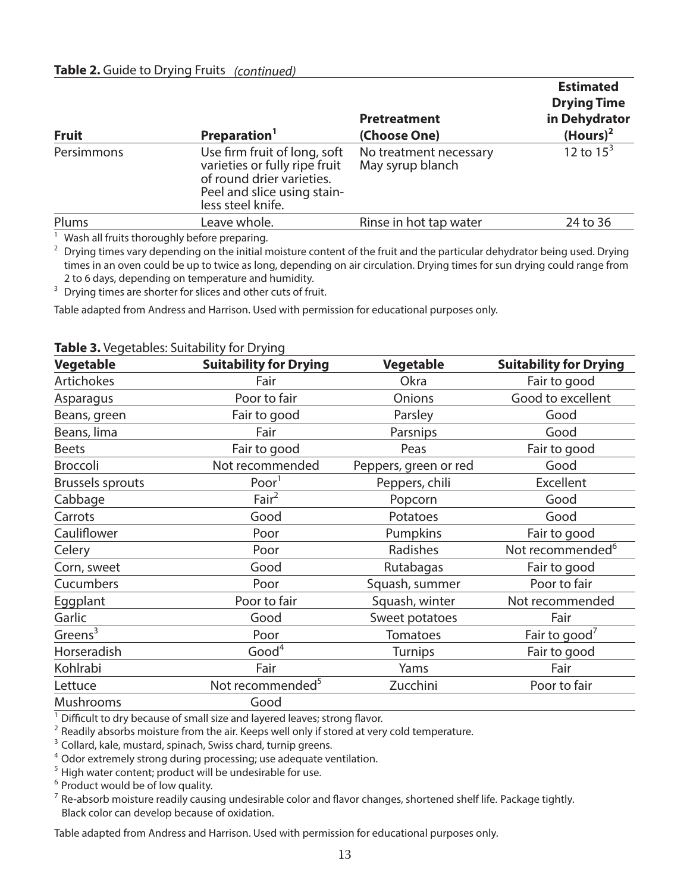| <b>Fruit</b> | Preparation <sup>1</sup>                                                                                                                       | <b>Pretreatment</b><br>(Choose One)        | <b>Estimated</b><br><b>Drying Time</b><br>in Dehydrator<br>$(Hours)^2$ |
|--------------|------------------------------------------------------------------------------------------------------------------------------------------------|--------------------------------------------|------------------------------------------------------------------------|
| Persimmons   | Use firm fruit of long, soft<br>varieties or fully ripe fruit<br>of round drier varieties.<br>Peel and slice using stain-<br>less steel knife. | No treatment necessary<br>May syrup blanch | 12 to $15^3$                                                           |
| Plums        | Leave whole.                                                                                                                                   | Rinse in hot tap water                     | 24 to 36                                                               |
| 1.11         |                                                                                                                                                |                                            |                                                                        |

 $1$  Wash all fruits thoroughly before preparing.

<sup>2</sup> Drying times vary depending on the initial moisture content of the fruit and the particular dehydrator being used. Drying times in an oven could be up to twice as long, depending on air circulation. Drying times for sun drying could range from 2 to 6 days, depending on temperature and humidity.

<sup>3</sup> Drying times are shorter for slices and other cuts of fruit.

Table adapted from Andress and Harrison. Used with permission for educational purposes only.

| <b>Vegetable</b>        | <b>Suitability for Drying</b> | <b>Vegetable</b>      | <b>Suitability for Drying</b> |
|-------------------------|-------------------------------|-----------------------|-------------------------------|
| <b>Artichokes</b>       | Fair                          | Okra                  | Fair to good                  |
| Asparagus               | Poor to fair                  | Onions                | Good to excellent             |
| Beans, green            | Fair to good                  | Parsley               | Good                          |
| Beans, lima             | Fair                          | Parsnips              | Good                          |
| <b>Beets</b>            | Fair to good                  | Peas                  | Fair to good                  |
| <b>Broccoli</b>         | Not recommended               | Peppers, green or red | Good                          |
| <b>Brussels sprouts</b> | Poor <sup>1</sup>             | Peppers, chili        | Excellent                     |
| Cabbage                 | Fair <sup>2</sup>             | Popcorn               | Good                          |
| Carrots                 | Good                          | Potatoes              | Good                          |
| Cauliflower             | Poor                          | Pumpkins              | Fair to good                  |
| Celery                  | Poor                          | Radishes              | Not recommended <sup>6</sup>  |
| Corn, sweet             | Good                          | Rutabagas             | Fair to good                  |
| Cucumbers               | Poor                          | Squash, summer        | Poor to fair                  |
| Eggplant                | Poor to fair                  | Squash, winter        | Not recommended               |
| Garlic                  | Good                          | Sweet potatoes        | Fair                          |
| Greens $3$              | Poor                          | <b>Tomatoes</b>       | Fair to good                  |
| Horseradish             | Good <sup>4</sup>             | <b>Turnips</b>        | Fair to good                  |
| Kohlrabi                | Fair                          | Yams                  | Fair                          |
| Lettuce                 | Not recommended <sup>5</sup>  | Zucchini              | Poor to fair                  |
| Mushrooms               | Good                          |                       |                               |

#### **Table 3.** Vegetables: Suitability for Drying

 $1$  Difficult to dry because of small size and layered leaves; strong flavor.

 $2$  Readily absorbs moisture from the air. Keeps well only if stored at very cold temperature.

<sup>3</sup> Collard, kale, mustard, spinach, Swiss chard, turnip greens.

4 Odor extremely strong during processing; use adequate ventilation.

<sup>5</sup> High water content; product will be undesirable for use.

<sup>6</sup> Product would be of low quality.

 $<sup>7</sup>$  Re-absorb moisture readily causing undesirable color and flavor changes, shortened shelf life. Package tightly.</sup> Black color can develop because of oxidation.

Table adapted from Andress and Harrison. Used with permission for educational purposes only.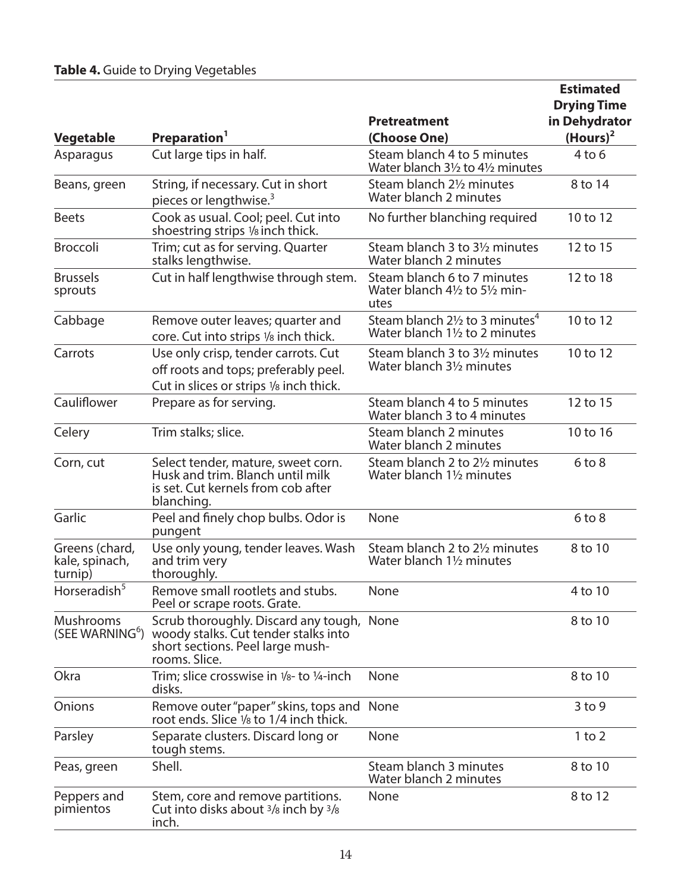|                                             |                                                                                                                                        |                                                                                         | <b>Estimated</b>             |
|---------------------------------------------|----------------------------------------------------------------------------------------------------------------------------------------|-----------------------------------------------------------------------------------------|------------------------------|
|                                             |                                                                                                                                        |                                                                                         | <b>Drying Time</b>           |
| <b>Vegetable</b>                            | Preparation <sup>1</sup>                                                                                                               | <b>Pretreatment</b><br>(Choose One)                                                     | in Dehydrator<br>$(Hours)^2$ |
| Asparagus                                   | Cut large tips in half.                                                                                                                | Steam blanch 4 to 5 minutes<br>Water blanch 31/2 to 41/2 minutes                        | $4$ to $6$                   |
| Beans, green                                | String, if necessary. Cut in short<br>pieces or lengthwise. <sup>3</sup>                                                               | Steam blanch 21/2 minutes<br>Water blanch 2 minutes                                     | 8 to 14                      |
| <b>Beets</b>                                | Cook as usual. Cool; peel. Cut into<br>shoestring strips 1/8 inch thick.                                                               | No further blanching required                                                           | 10 to 12                     |
| <b>Broccoli</b>                             | Trim; cut as for serving. Quarter<br>stalks lengthwise.                                                                                | Steam blanch 3 to 3 <sup>1</sup> / <sub>2</sub> minutes<br>Water blanch 2 minutes       | 12 to 15                     |
| <b>Brussels</b><br>sprouts                  | Cut in half lengthwise through stem.                                                                                                   | Steam blanch 6 to 7 minutes<br>Water blanch 41/2 to 51/2 min-<br>utes                   | 12 to 18                     |
| Cabbage                                     | Remove outer leaves; quarter and<br>core. Cut into strips 1/8 inch thick.                                                              | Steam blanch $2\frac{1}{2}$ to 3 minutes <sup>4</sup><br>Water blanch 11/2 to 2 minutes | 10 to 12                     |
| Carrots                                     | Use only crisp, tender carrots. Cut<br>off roots and tops; preferably peel.<br>Cut in slices or strips 1/8 inch thick.                 | Steam blanch 3 to 3 <sup>1</sup> / <sub>2</sub> minutes<br>Water blanch 31/2 minutes    | 10 to 12                     |
| Cauliflower                                 | Prepare as for serving.                                                                                                                | Steam blanch 4 to 5 minutes<br>Water blanch 3 to 4 minutes                              | 12 to 15                     |
| Celery                                      | Trim stalks; slice.                                                                                                                    | Steam blanch 2 minutes<br>Water blanch 2 minutes                                        | 10 to 16                     |
| Corn, cut                                   | Select tender, mature, sweet corn.<br>Husk and trim. Blanch until milk<br>is set. Cut kernels from cob after<br>blanching.             | Steam blanch 2 to 2 <sup>1</sup> / <sub>2</sub> minutes<br>Water blanch 11/2 minutes    | $6$ to $8$                   |
| Garlic                                      | Peel and finely chop bulbs. Odor is<br>pungent                                                                                         | None                                                                                    | $6$ to $8$                   |
| Greens (chard,<br>kale, spinach,<br>turnip) | Use only young, tender leaves. Wash<br>and trim very<br>thoroughly.                                                                    | Steam blanch 2 to 21/2 minutes<br>Water blanch 11/2 minutes                             | 8 to 10                      |
| Horseradish <sup>5</sup>                    | Remove small rootlets and stubs.<br>Peel or scrape roots. Grate.                                                                       | None                                                                                    | 4 to 10                      |
| Mushrooms<br>(SEE WARNING <sup>6</sup> )    | Scrub thoroughly. Discard any tough, None<br>woody stalks. Cut tender stalks into<br>short sections. Peel large mush-<br>rooms. Slice. |                                                                                         | 8 to 10                      |
| Okra                                        | Trim; slice crosswise in $1/8$ - to $1/4$ -inch<br>disks.                                                                              | None                                                                                    | 8 to 10                      |
| Onions                                      | Remove outer "paper" skins, tops and None<br>root ends. Slice 1/8 to 1/4 inch thick.                                                   |                                                                                         | $3$ to 9                     |
| Parsley                                     | Separate clusters. Discard long or<br>tough stems.                                                                                     | None                                                                                    | $1$ to $2$                   |
| Peas, green                                 | Shell.                                                                                                                                 | Steam blanch 3 minutes<br>Water blanch 2 minutes                                        | 8 to 10                      |
| Peppers and<br>pimientos                    | Stem, core and remove partitions.<br>Cut into disks about <sup>3</sup> /8 inch by <sup>3</sup> /8<br>inch.                             | None                                                                                    | 8 to 12                      |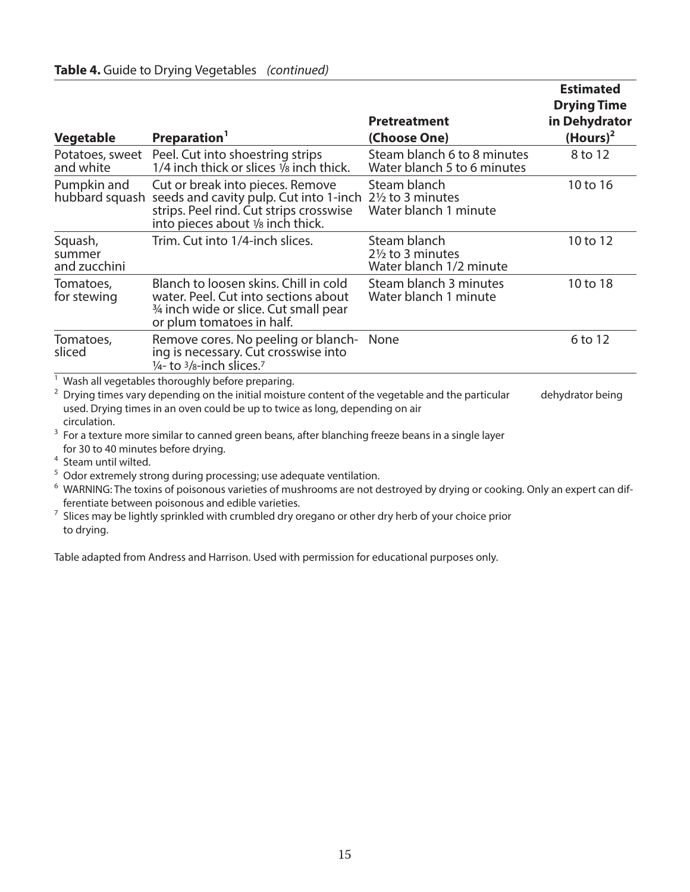|                                                                         | <b>rable 4.</b> Guide to Dryling vegetables (commided)                                                                                                                                                                                                                                                                                                  |                                                                        | <b>Estimated</b><br><b>Drying Time</b> |
|-------------------------------------------------------------------------|---------------------------------------------------------------------------------------------------------------------------------------------------------------------------------------------------------------------------------------------------------------------------------------------------------------------------------------------------------|------------------------------------------------------------------------|----------------------------------------|
|                                                                         |                                                                                                                                                                                                                                                                                                                                                         | <b>Pretreatment</b>                                                    | in Dehydrator                          |
| Vegetable                                                               | Preparation <sup>1</sup>                                                                                                                                                                                                                                                                                                                                | (Choose One)                                                           | $(Hours)^2$                            |
| Potatoes, sweet<br>and white                                            | Peel. Cut into shoestring strips<br>1/4 inch thick or slices $\overline{v}_8$ inch thick.                                                                                                                                                                                                                                                               | Steam blanch 6 to 8 minutes<br>Water blanch 5 to 6 minutes             | 8 to 12                                |
| Pumpkin and<br>hubbard squash                                           | Cut or break into pieces. Remove<br>seeds and cavity pulp. Cut into 1-inch<br>strips. Peel rind. Cut strips crosswise<br>into pieces about 1/8 inch thick.                                                                                                                                                                                              | Steam blanch<br>$2\frac{1}{2}$ to 3 minutes<br>Water blanch 1 minute   | 10 to 16                               |
| Squash,<br>summer<br>and zucchini                                       | Trim. Cut into 1/4-inch slices.                                                                                                                                                                                                                                                                                                                         | Steam blanch<br>$2\frac{1}{2}$ to 3 minutes<br>Water blanch 1/2 minute | 10 to 12                               |
| Tomatoes,<br>for stewing                                                | Blanch to loosen skins. Chill in cold<br>water. Peel. Cut into sections about<br>3/4 inch wide or slice. Cut small pear<br>or plum tomatoes in half.                                                                                                                                                                                                    | Steam blanch 3 minutes<br>Water blanch 1 minute                        | 10 to 18                               |
| Tomatoes,<br>sliced                                                     | Remove cores. No peeling or blanch-<br>ing is necessary. Cut crosswise into<br>$\frac{1}{4}$ - to $\frac{3}{8}$ -inch slices. <sup>7</sup>                                                                                                                                                                                                              | None                                                                   | 6 to 12                                |
| 2<br>circulation.                                                       | Wash all vegetables thoroughly before preparing.<br>Drying times vary depending on the initial moisture content of the vegetable and the particular<br>used. Drying times in an oven could be up to twice as long, depending on air                                                                                                                     |                                                                        | dehydrator being                       |
| for 30 to 40 minutes before drying.<br><sup>4</sup> Steam until wilted. | <sup>3</sup> For a texture more similar to canned green beans, after blanching freeze beans in a single layer                                                                                                                                                                                                                                           |                                                                        |                                        |
| 5<br>6<br>7                                                             | Odor extremely strong during processing; use adequate ventilation.<br>WARNING: The toxins of poisonous varieties of mushrooms are not destroyed by drying or cooking. Only an expert can dif-<br>ferentiate between poisonous and edible varieties.<br>Slices may be lightly sprinkled with crumbled dry oregano or other dry herb of your choice prior |                                                                        |                                        |

**Table 4.** Guide to Drying Vegetables *(continued)*

Table adapted from Andress and Harrison. Used with permission for educational purposes only.

to drying.